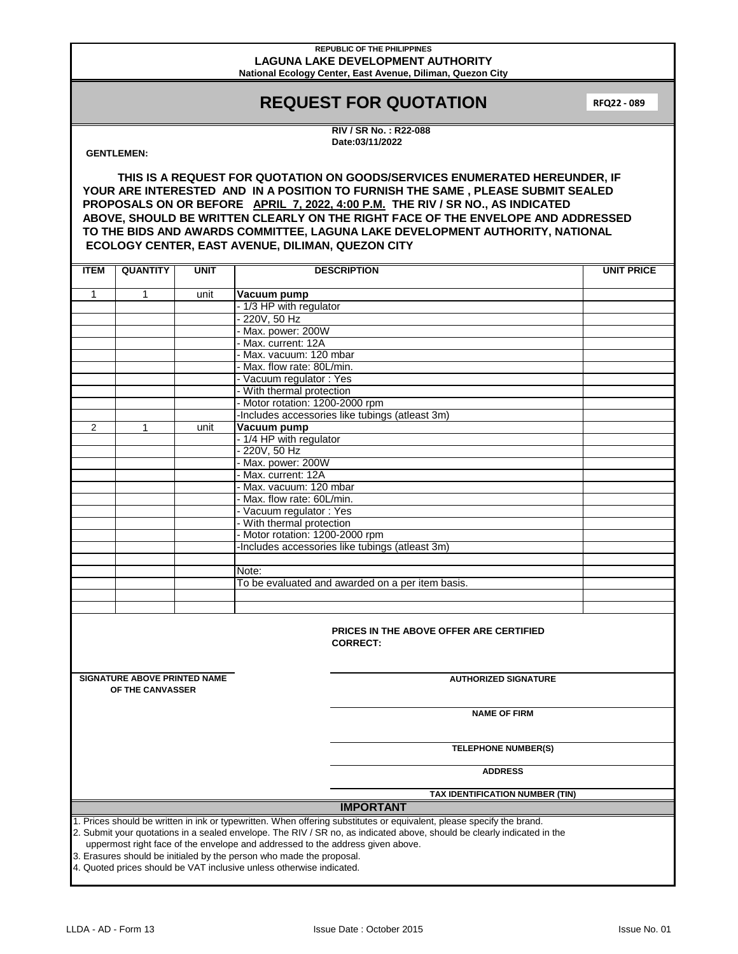#### **REPUBLIC OF THE PHILIPPINES LAGUNA LAKE DEVELOPMENT AUTHORITY National Ecology Center, East Avenue, Diliman, Quezon City**

# **REQUEST FOR QUOTATION**

**RFQ22 - 089** 

**RIV / SR No. : R22-088 Date:03/11/2022**

### **GENTLEMEN:**

**THIS IS A REQUEST FOR QUOTATION ON GOODS/SERVICES ENUMERATED HEREUNDER, IF YOUR ARE INTERESTED AND IN A POSITION TO FURNISH THE SAME , PLEASE SUBMIT SEALED PROPOSALS ON OR BEFORE APRIL 7, 2022, 4:00 P.M. THE RIV / SR NO., AS INDICATED ABOVE, SHOULD BE WRITTEN CLEARLY ON THE RIGHT FACE OF THE ENVELOPE AND ADDRESSED TO THE BIDS AND AWARDS COMMITTEE, LAGUNA LAKE DEVELOPMENT AUTHORITY, NATIONAL ECOLOGY CENTER, EAST AVENUE, DILIMAN, QUEZON CITY**

| <b>ITEM</b>                                                                                                                                                                                                                                                                       | <b>QUANTITY</b>                     | <b>UNIT</b> | <b>DESCRIPTION</b>                                       | <b>UNIT PRICE</b> |  |  |  |  |
|-----------------------------------------------------------------------------------------------------------------------------------------------------------------------------------------------------------------------------------------------------------------------------------|-------------------------------------|-------------|----------------------------------------------------------|-------------------|--|--|--|--|
| $\mathbf{1}$                                                                                                                                                                                                                                                                      | 1                                   |             |                                                          |                   |  |  |  |  |
|                                                                                                                                                                                                                                                                                   |                                     | unit        | Vacuum pump                                              |                   |  |  |  |  |
|                                                                                                                                                                                                                                                                                   |                                     |             | - 1/3 HP with regulator<br>220V, 50 Hz                   |                   |  |  |  |  |
|                                                                                                                                                                                                                                                                                   |                                     |             |                                                          |                   |  |  |  |  |
|                                                                                                                                                                                                                                                                                   |                                     |             | Max. power: 200W<br>Max. current: 12A                    |                   |  |  |  |  |
|                                                                                                                                                                                                                                                                                   |                                     |             |                                                          |                   |  |  |  |  |
|                                                                                                                                                                                                                                                                                   |                                     |             | Max. vacuum: 120 mbar                                    |                   |  |  |  |  |
|                                                                                                                                                                                                                                                                                   |                                     |             | Max. flow rate: 80L/min.                                 |                   |  |  |  |  |
|                                                                                                                                                                                                                                                                                   |                                     |             | Vacuum regulator: Yes                                    |                   |  |  |  |  |
|                                                                                                                                                                                                                                                                                   |                                     |             | With thermal protection<br>Motor rotation: 1200-2000 rpm |                   |  |  |  |  |
|                                                                                                                                                                                                                                                                                   |                                     |             | Includes accessories like tubings (atleast 3m)           |                   |  |  |  |  |
|                                                                                                                                                                                                                                                                                   |                                     |             |                                                          |                   |  |  |  |  |
| 2                                                                                                                                                                                                                                                                                 | 1                                   | unit        | Vacuum pump<br>- 1/4 HP with regulator                   |                   |  |  |  |  |
|                                                                                                                                                                                                                                                                                   |                                     |             |                                                          |                   |  |  |  |  |
|                                                                                                                                                                                                                                                                                   |                                     |             | 220V, 50 Hz                                              |                   |  |  |  |  |
|                                                                                                                                                                                                                                                                                   |                                     |             | Max. power: 200W                                         |                   |  |  |  |  |
|                                                                                                                                                                                                                                                                                   |                                     |             | Max. current: 12A                                        |                   |  |  |  |  |
|                                                                                                                                                                                                                                                                                   |                                     |             | Max. vacuum: 120 mbar                                    |                   |  |  |  |  |
|                                                                                                                                                                                                                                                                                   |                                     |             | Max. flow rate: 60L/min.                                 |                   |  |  |  |  |
|                                                                                                                                                                                                                                                                                   |                                     |             | Vacuum regulator: Yes                                    |                   |  |  |  |  |
|                                                                                                                                                                                                                                                                                   |                                     |             | With thermal protection                                  |                   |  |  |  |  |
|                                                                                                                                                                                                                                                                                   |                                     |             | Motor rotation: 1200-2000 rpm                            |                   |  |  |  |  |
|                                                                                                                                                                                                                                                                                   |                                     |             | Includes accessories like tubings (atleast 3m)           |                   |  |  |  |  |
|                                                                                                                                                                                                                                                                                   |                                     |             |                                                          |                   |  |  |  |  |
|                                                                                                                                                                                                                                                                                   |                                     |             | Note:                                                    |                   |  |  |  |  |
|                                                                                                                                                                                                                                                                                   |                                     |             | To be evaluated and awarded on a per item basis.         |                   |  |  |  |  |
|                                                                                                                                                                                                                                                                                   |                                     |             |                                                          |                   |  |  |  |  |
|                                                                                                                                                                                                                                                                                   |                                     |             |                                                          |                   |  |  |  |  |
| <b>PRICES IN THE ABOVE OFFER ARE CERTIFIED</b><br><b>CORRECT:</b>                                                                                                                                                                                                                 |                                     |             |                                                          |                   |  |  |  |  |
|                                                                                                                                                                                                                                                                                   | <b>SIGNATURE ABOVE PRINTED NAME</b> |             | <b>AUTHORIZED SIGNATURE</b>                              |                   |  |  |  |  |
|                                                                                                                                                                                                                                                                                   | OF THE CANVASSER                    |             |                                                          |                   |  |  |  |  |
|                                                                                                                                                                                                                                                                                   |                                     |             | <b>NAME OF FIRM</b>                                      |                   |  |  |  |  |
|                                                                                                                                                                                                                                                                                   |                                     |             | <b>TELEPHONE NUMBER(S)</b>                               |                   |  |  |  |  |
|                                                                                                                                                                                                                                                                                   |                                     |             | <b>ADDRESS</b>                                           |                   |  |  |  |  |
|                                                                                                                                                                                                                                                                                   |                                     |             | TAX IDENTIFICATION NUMBER (TIN)                          |                   |  |  |  |  |
| <b>IMPORTANT</b>                                                                                                                                                                                                                                                                  |                                     |             |                                                          |                   |  |  |  |  |
| 1. Prices should be written in ink or typewritten. When offering substitutes or equivalent, please specify the brand.                                                                                                                                                             |                                     |             |                                                          |                   |  |  |  |  |
| 2. Submit your quotations in a sealed envelope. The RIV / SR no, as indicated above, should be clearly indicated in the<br>uppermost right face of the envelope and addressed to the address given above.<br>3. Erasures should be initialed by the person who made the proposal. |                                     |             |                                                          |                   |  |  |  |  |
| 4. Quoted prices should be VAT inclusive unless otherwise indicated.                                                                                                                                                                                                              |                                     |             |                                                          |                   |  |  |  |  |